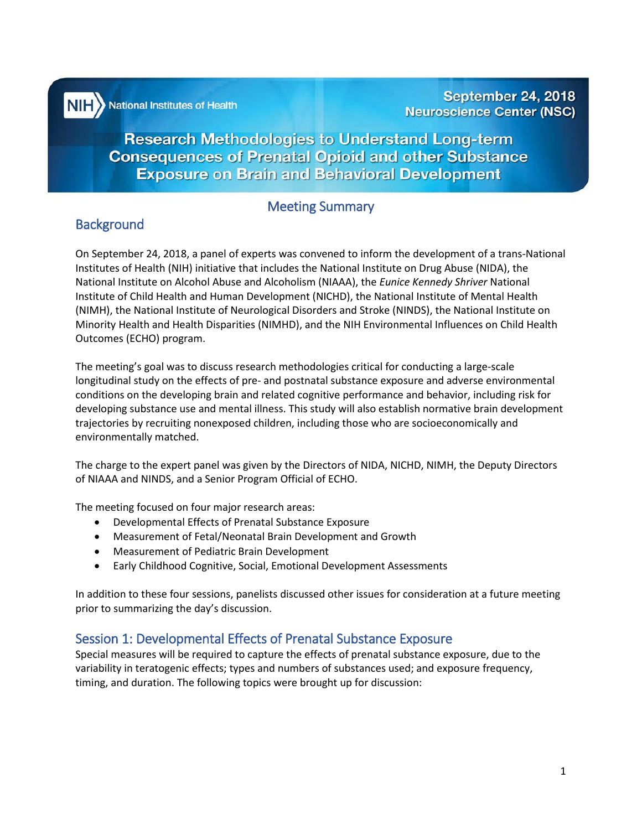National Institutes of Health

**Research Methodologies to Understand Long-term Consequences of Prenatal Opioid and other Substance Exposure on Brain and Behavioral Development** 

# Meeting Summary

# **Background**

i i

֦֘

On September 24, 2018, a panel of experts was convened to inform the development of a trans-National Institutes of Health (NIH) initiative that includes the National Institute on Drug Abuse (NIDA), the National Institute on Alcohol Abuse and Alcoholism (NIAAA), the *Eunice Kennedy Shriver* National Institute of Child Health and Human Development (NICHD), the National Institute of Mental Health (NIMH), the National Institute of Neurological Disorders and Stroke (NINDS), the National Institute on Minority Health and Health Disparities (NIMHD), and the NIH Environmental Influences on Child Health Outcomes (ECHO) program.

The meeting's goal was to discuss research methodologies critical for conducting a large-scale longitudinal study on the effects of pre- and postnatal substance exposure and adverse environmental conditions on the developing brain and related cognitive performance and behavior, including risk for developing substance use and mental illness. This study will also establish normative brain development trajectories by recruiting nonexposed children, including those who are socioeconomically and environmentally matched.

The charge to the expert panel was given by the Directors of NIDA, NICHD, NIMH, the Deputy Directors of NIAAA and NINDS, and a Senior Program Official of ECHO.

The meeting focused on four major research areas:

- Developmental Effects of Prenatal Substance Exposure
- Measurement of Fetal/Neonatal Brain Development and Growth
- Measurement of Pediatric Brain Development
- Early Childhood Cognitive, Social, Emotional Development Assessments

In addition to these four sessions, panelists discussed other issues for consideration at a future meeting prior to summarizing the day's discussion.

# Session 1: Developmental Effects of Prenatal Substance Exposure

Special measures will be required to capture the effects of prenatal substance exposure, due to the variability in teratogenic effects; types and numbers of substances used; and exposure frequency, timing, and duration. The following topics were brought up for discussion: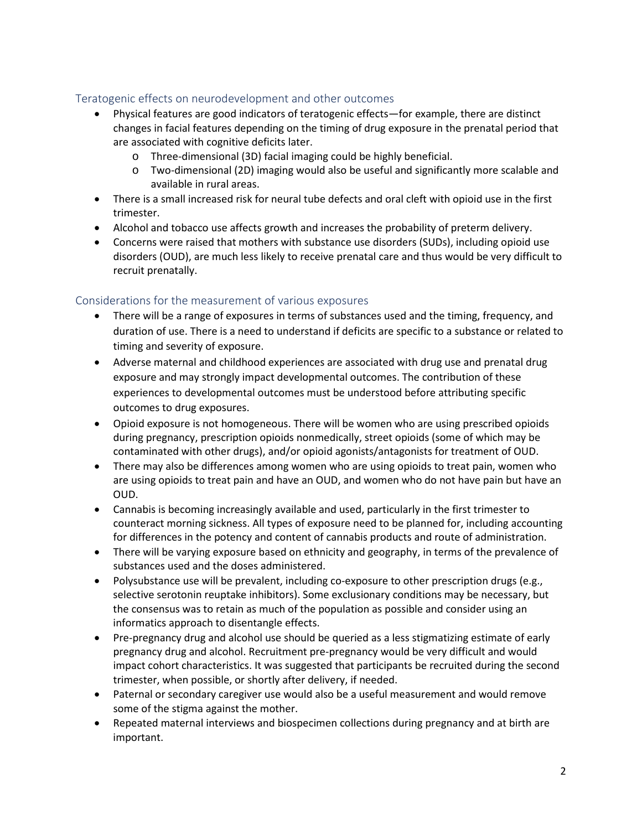## Teratogenic effects on neurodevelopment and other outcomes

- Physical features are good indicators of teratogenic effects—for example, there are distinct changes in facial features depending on the timing of drug exposure in the prenatal period that are associated with cognitive deficits later.
	- o Three-dimensional (3D) facial imaging could be highly beneficial.
	- o Two-dimensional (2D) imaging would also be useful and significantly more scalable and available in rural areas.
- There is a small increased risk for neural tube defects and oral cleft with opioid use in the first trimester.
- Alcohol and tobacco use affects growth and increases the probability of preterm delivery.
- Concerns were raised that mothers with substance use disorders (SUDs), including opioid use disorders (OUD), are much less likely to receive prenatal care and thus would be very difficult to recruit prenatally.

#### Considerations for the measurement of various exposures

- There will be a range of exposures in terms of substances used and the timing, frequency, and duration of use. There is a need to understand if deficits are specific to a substance or related to timing and severity of exposure.
- Adverse maternal and childhood experiences are associated with drug use and prenatal drug exposure and may strongly impact developmental outcomes. The contribution of these experiences to developmental outcomes must be understood before attributing specific outcomes to drug exposures.
- Opioid exposure is not homogeneous. There will be women who are using prescribed opioids during pregnancy, prescription opioids nonmedically, street opioids (some of which may be contaminated with other drugs), and/or opioid agonists/antagonists for treatment of OUD.
- There may also be differences among women who are using opioids to treat pain, women who are using opioids to treat pain and have an OUD, and women who do not have pain but have an OUD.
- Cannabis is becoming increasingly available and used, particularly in the first trimester to counteract morning sickness. All types of exposure need to be planned for, including accounting for differences in the potency and content of cannabis products and route of administration.
- There will be varying exposure based on ethnicity and geography, in terms of the prevalence of substances used and the doses administered.
- Polysubstance use will be prevalent, including co-exposure to other prescription drugs (e.g., selective serotonin reuptake inhibitors). Some exclusionary conditions may be necessary, but the consensus was to retain as much of the population as possible and consider using an informatics approach to disentangle effects.
- Pre-pregnancy drug and alcohol use should be queried as a less stigmatizing estimate of early pregnancy drug and alcohol. Recruitment pre-pregnancy would be very difficult and would impact cohort characteristics. It was suggested that participants be recruited during the second trimester, when possible, or shortly after delivery, if needed.
- Paternal or secondary caregiver use would also be a useful measurement and would remove some of the stigma against the mother.
- Repeated maternal interviews and biospecimen collections during pregnancy and at birth are important.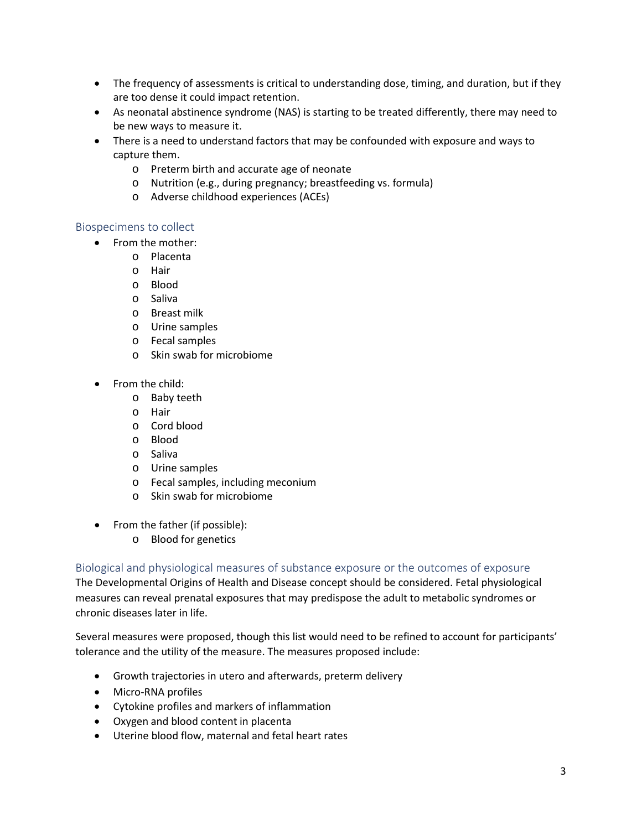- The frequency of assessments is critical to understanding dose, timing, and duration, but if they are too dense it could impact retention.
- As neonatal abstinence syndrome (NAS) is starting to be treated differently, there may need to be new ways to measure it.
- There is a need to understand factors that may be confounded with exposure and ways to capture them.
	- o Preterm birth and accurate age of neonate
	- o Nutrition (e.g., during pregnancy; breastfeeding vs. formula)
	- o Adverse childhood experiences (ACEs)

#### Biospecimens to collect

- From the mother:
	- o Placenta
	- o Hair
	- o Blood
	- o Saliva
	- o Breast milk
	- o Urine samples
	- o Fecal samples
	- o Skin swab for microbiome
- From the child:
	- o Baby teeth
	- o Hair
	- o Cord blood
	- o Blood
	- o Saliva
	- o Urine samples
	- o Fecal samples, including meconium
	- o Skin swab for microbiome
- From the father (if possible):
	- o Blood for genetics

Biological and physiological measures of substance exposure or the outcomes of exposure

The Developmental Origins of Health and Disease concept should be considered. Fetal physiological measures can reveal prenatal exposures that may predispose the adult to metabolic syndromes or chronic diseases later in life.

Several measures were proposed, though this list would need to be refined to account for participants' tolerance and the utility of the measure. The measures proposed include:

- Growth trajectories in utero and afterwards, preterm delivery
- Micro-RNA profiles
- Cytokine profiles and markers of inflammation
- Oxygen and blood content in placenta
- Uterine blood flow, maternal and fetal heart rates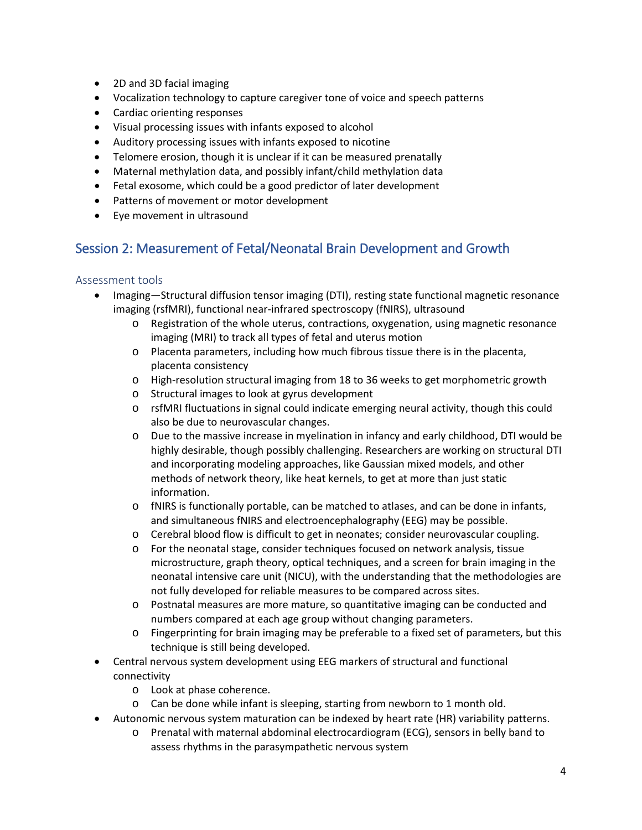- 2D and 3D facial imaging
- Vocalization technology to capture caregiver tone of voice and speech patterns
- Cardiac orienting responses
- Visual processing issues with infants exposed to alcohol
- Auditory processing issues with infants exposed to nicotine
- Telomere erosion, though it is unclear if it can be measured prenatally
- Maternal methylation data, and possibly infant/child methylation data
- Fetal exosome, which could be a good predictor of later development
- Patterns of movement or motor development
- Eye movement in ultrasound

# Session 2: Measurement of Fetal/Neonatal Brain Development and Growth

## Assessment tools

- Imaging—Structural diffusion tensor imaging (DTI), resting state functional magnetic resonance imaging (rsfMRI), functional near-infrared spectroscopy (fNIRS), ultrasound
	- o Registration of the whole uterus, contractions, oxygenation, using magnetic resonance imaging (MRI) to track all types of fetal and uterus motion
	- o Placenta parameters, including how much fibrous tissue there is in the placenta, placenta consistency
	- o High-resolution structural imaging from 18 to 36 weeks to get morphometric growth
	- o Structural images to look at gyrus development
	- o rsfMRI fluctuations in signal could indicate emerging neural activity, though this could also be due to neurovascular changes.
	- o Due to the massive increase in myelination in infancy and early childhood, DTI would be highly desirable, though possibly challenging. Researchers are working on structural DTI and incorporating modeling approaches, like Gaussian mixed models, and other methods of network theory, like heat kernels, to get at more than just static information.
	- o fNIRS is functionally portable, can be matched to atlases, and can be done in infants, and simultaneous fNIRS and electroencephalography (EEG) may be possible.
	- o Cerebral blood flow is difficult to get in neonates; consider neurovascular coupling.
	- o For the neonatal stage, consider techniques focused on network analysis, tissue microstructure, graph theory, optical techniques, and a screen for brain imaging in the neonatal intensive care unit (NICU), with the understanding that the methodologies are not fully developed for reliable measures to be compared across sites.
	- o Postnatal measures are more mature, so quantitative imaging can be conducted and numbers compared at each age group without changing parameters.
	- o Fingerprinting for brain imaging may be preferable to a fixed set of parameters, but this technique is still being developed.
- Central nervous system development using EEG markers of structural and functional connectivity
	- o Look at phase coherence.
	- o Can be done while infant is sleeping, starting from newborn to 1 month old.
- Autonomic nervous system maturation can be indexed by heart rate (HR) variability patterns.
	- o Prenatal with maternal abdominal electrocardiogram (ECG), sensors in belly band to assess rhythms in the parasympathetic nervous system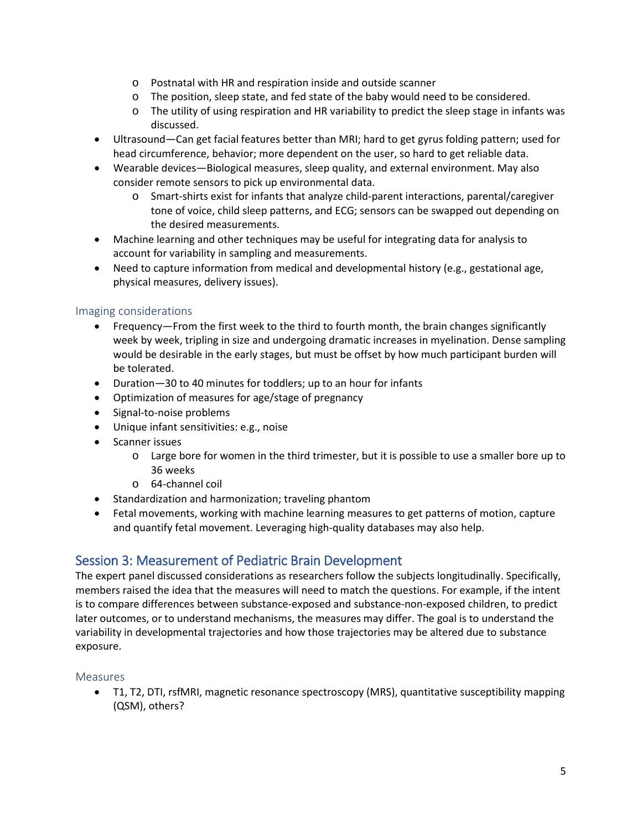- o Postnatal with HR and respiration inside and outside scanner
- o The position, sleep state, and fed state of the baby would need to be considered.
- o The utility of using respiration and HR variability to predict the sleep stage in infants was discussed.
- Ultrasound—Can get facial features better than MRI; hard to get gyrus folding pattern; used for head circumference, behavior; more dependent on the user, so hard to get reliable data.
- Wearable devices—Biological measures, sleep quality, and external environment. May also consider remote sensors to pick up environmental data.
	- o Smart-shirts exist for infants that analyze child-parent interactions, parental/caregiver tone of voice, child sleep patterns, and ECG; sensors can be swapped out depending on the desired measurements.
- Machine learning and other techniques may be useful for integrating data for analysis to account for variability in sampling and measurements.
- Need to capture information from medical and developmental history (e.g., gestational age, physical measures, delivery issues).

## Imaging considerations

- Frequency—From the first week to the third to fourth month, the brain changes significantly week by week, tripling in size and undergoing dramatic increases in myelination. Dense sampling would be desirable in the early stages, but must be offset by how much participant burden will be tolerated.
- Duration—30 to 40 minutes for toddlers; up to an hour for infants
- Optimization of measures for age/stage of pregnancy
- Signal-to-noise problems
- Unique infant sensitivities: e.g., noise
- Scanner issues
	- $\circ$  Large bore for women in the third trimester, but it is possible to use a smaller bore up to 36 weeks
	- o 64-channel coil
- Standardization and harmonization; traveling phantom
- Fetal movements, working with machine learning measures to get patterns of motion, capture and quantify fetal movement. Leveraging high-quality databases may also help.

# Session 3: Measurement of Pediatric Brain Development

The expert panel discussed considerations as researchers follow the subjects longitudinally. Specifically, members raised the idea that the measures will need to match the questions. For example, if the intent is to compare differences between substance-exposed and substance-non-exposed children, to predict later outcomes, or to understand mechanisms, the measures may differ. The goal is to understand the variability in developmental trajectories and how those trajectories may be altered due to substance exposure.

#### **Measures**

• T1, T2, DTI, rsfMRI, magnetic resonance spectroscopy (MRS), quantitative susceptibility mapping (QSM), others?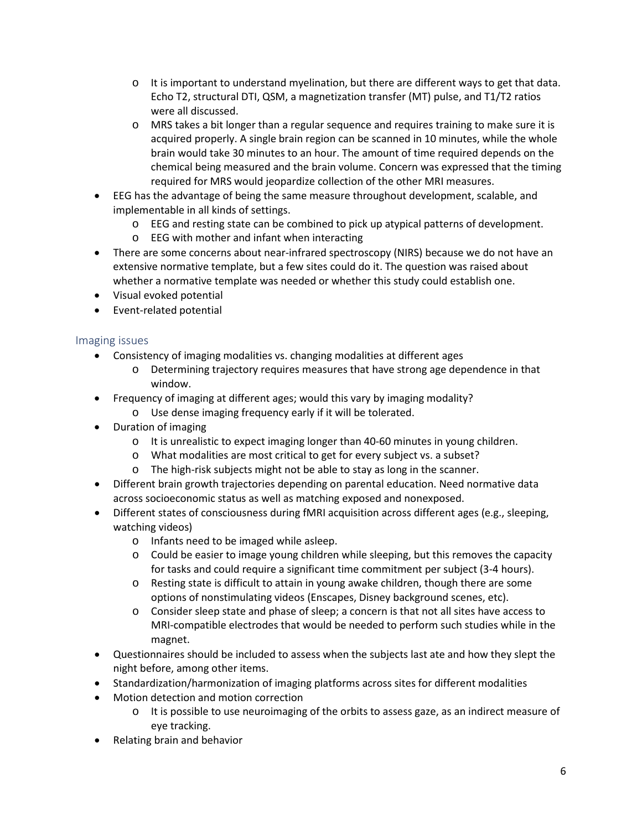- $\circ$  It is important to understand myelination, but there are different ways to get that data. Echo T2, structural DTI, QSM, a magnetization transfer (MT) pulse, and T1/T2 ratios were all discussed.
- o MRS takes a bit longer than a regular sequence and requires training to make sure it is acquired properly. A single brain region can be scanned in 10 minutes, while the whole brain would take 30 minutes to an hour. The amount of time required depends on the chemical being measured and the brain volume. Concern was expressed that the timing required for MRS would jeopardize collection of the other MRI measures.
- EEG has the advantage of being the same measure throughout development, scalable, and implementable in all kinds of settings.
	- o EEG and resting state can be combined to pick up atypical patterns of development.
	- o EEG with mother and infant when interacting
- There are some concerns about near-infrared spectroscopy (NIRS) because we do not have an extensive normative template, but a few sites could do it. The question was raised about whether a normative template was needed or whether this study could establish one.
- Visual evoked potential
- Event-related potential

## Imaging issues

- Consistency of imaging modalities vs. changing modalities at different ages
	- o Determining trajectory requires measures that have strong age dependence in that window.
- Frequency of imaging at different ages; would this vary by imaging modality?
	- o Use dense imaging frequency early if it will be tolerated.
- Duration of imaging
	- $\circ$  It is unrealistic to expect imaging longer than 40-60 minutes in young children.
	- o What modalities are most critical to get for every subject vs. a subset?
	- o The high-risk subjects might not be able to stay as long in the scanner.
- Different brain growth trajectories depending on parental education. Need normative data across socioeconomic status as well as matching exposed and nonexposed.
- Different states of consciousness during fMRI acquisition across different ages (e.g., sleeping, watching videos)
	- o Infants need to be imaged while asleep.
	- $\circ$  Could be easier to image young children while sleeping, but this removes the capacity for tasks and could require a significant time commitment per subject (3-4 hours).
	- o Resting state is difficult to attain in young awake children, though there are some options of nonstimulating videos (Enscapes, Disney background scenes, etc).
	- o Consider sleep state and phase of sleep; a concern is that not all sites have access to MRI-compatible electrodes that would be needed to perform such studies while in the magnet.
- Questionnaires should be included to assess when the subjects last ate and how they slept the night before, among other items.
- Standardization/harmonization of imaging platforms across sites for different modalities
- Motion detection and motion correction
	- o It is possible to use neuroimaging of the orbits to assess gaze, as an indirect measure of eye tracking.
- Relating brain and behavior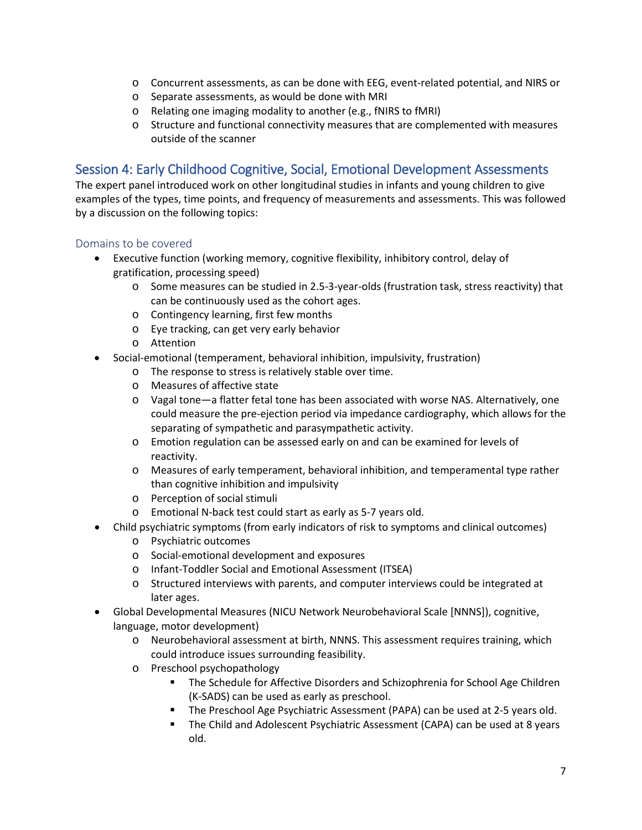- o Concurrent assessments, as can be done with EEG, event-related potential, and NIRS or
- o Separate assessments, as would be done with MRI
- o Relating one imaging modality to another (e.g., fNIRS to fMRI)
- o Structure and functional connectivity measures that are complemented with measures outside of the scanner

# Session 4: Early Childhood Cognitive, Social, Emotional Development Assessments

The expert panel introduced work on other longitudinal studies in infants and young children to give examples of the types, time points, and frequency of measurements and assessments. This was followed by a discussion on the following topics:

#### Domains to be covered

- Executive function (working memory, cognitive flexibility, inhibitory control, delay of gratification, processing speed)
	- o Some measures can be studied in 2.5-3-year-olds (frustration task, stress reactivity) that can be continuously used as the cohort ages.
	- o Contingency learning, first few months
	- o Eye tracking, can get very early behavior
	- o Attention
- Social-emotional (temperament, behavioral inhibition, impulsivity, frustration)
	- o The response to stress is relatively stable over time.
	- o Measures of affective state
	- o Vagal tone—a flatter fetal tone has been associated with worse NAS. Alternatively, one could measure the pre-ejection period via impedance cardiography, which allows for the separating of sympathetic and parasympathetic activity.
	- o Emotion regulation can be assessed early on and can be examined for levels of reactivity.
	- o Measures of early temperament, behavioral inhibition, and temperamental type rather than cognitive inhibition and impulsivity
	- o Perception of social stimuli
	- o Emotional N-back test could start as early as 5-7 years old.
- Child psychiatric symptoms (from early indicators of risk to symptoms and clinical outcomes)
	- o Psychiatric outcomes
	- o Social-emotional development and exposures
	- o Infant-Toddler Social and Emotional Assessment (ITSEA)
	- o Structured interviews with parents, and computer interviews could be integrated at later ages.
- Global Developmental Measures (NICU Network Neurobehavioral Scale [NNNS]), cognitive, language, motor development)
	- o Neurobehavioral assessment at birth, NNNS. This assessment requires training, which could introduce issues surrounding feasibility.
	- o Preschool psychopathology
		- The Schedule for Affective Disorders and Schizophrenia for School Age Children (K-SADS) can be used as early as preschool.
		- The Preschool Age Psychiatric Assessment (PAPA) can be used at 2-5 years old.
		- **The Child and Adolescent Psychiatric Assessment (CAPA) can be used at 8 years** old.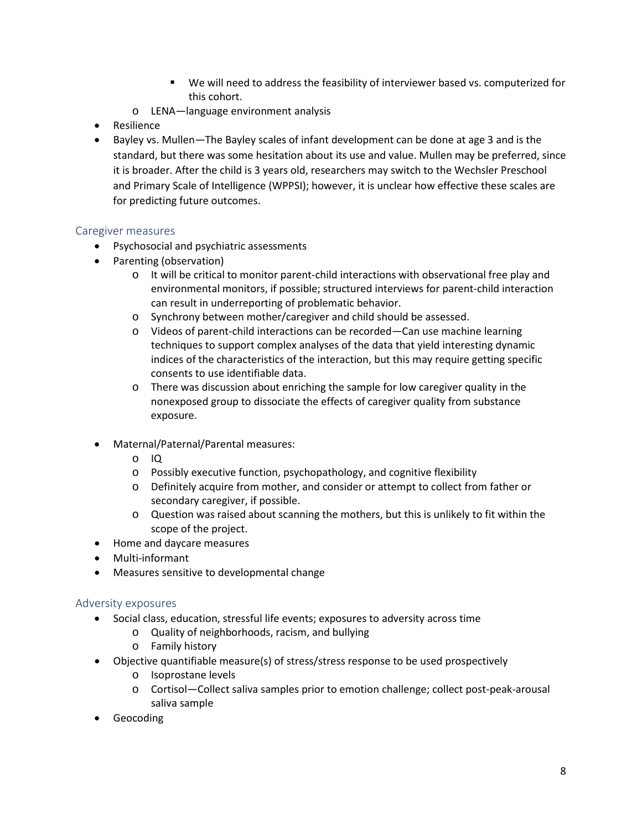- We will need to address the feasibility of interviewer based vs. computerized for this cohort.
- o LENA—language environment analysis
- Resilience
- Bayley vs. Mullen—The Bayley scales of infant development can be done at age 3 and is the standard, but there was some hesitation about its use and value. Mullen may be preferred, since it is broader. After the child is 3 years old, researchers may switch to the Wechsler Preschool and Primary Scale of Intelligence (WPPSI); however, it is unclear how effective these scales are for predicting future outcomes.

#### Caregiver measures

- Psychosocial and psychiatric assessments
- Parenting (observation)
	- o It will be critical to monitor parent-child interactions with observational free play and environmental monitors, if possible; structured interviews for parent-child interaction can result in underreporting of problematic behavior.
	- o Synchrony between mother/caregiver and child should be assessed.
	- o Videos of parent-child interactions can be recorded—Can use machine learning techniques to support complex analyses of the data that yield interesting dynamic indices of the characteristics of the interaction, but this may require getting specific consents to use identifiable data.
	- o There was discussion about enriching the sample for low caregiver quality in the nonexposed group to dissociate the effects of caregiver quality from substance exposure.
- Maternal/Paternal/Parental measures:
	- o IQ
	- o Possibly executive function, psychopathology, and cognitive flexibility
	- o Definitely acquire from mother, and consider or attempt to collect from father or secondary caregiver, if possible.
	- o Question was raised about scanning the mothers, but this is unlikely to fit within the scope of the project.
- Home and daycare measures
- Multi-informant
- Measures sensitive to developmental change

#### Adversity exposures

- Social class, education, stressful life events; exposures to adversity across time
	- o Quality of neighborhoods, racism, and bullying
	- o Family history
- Objective quantifiable measure(s) of stress/stress response to be used prospectively
	- o Isoprostane levels
	- o Cortisol—Collect saliva samples prior to emotion challenge; collect post-peak-arousal saliva sample
- Geocoding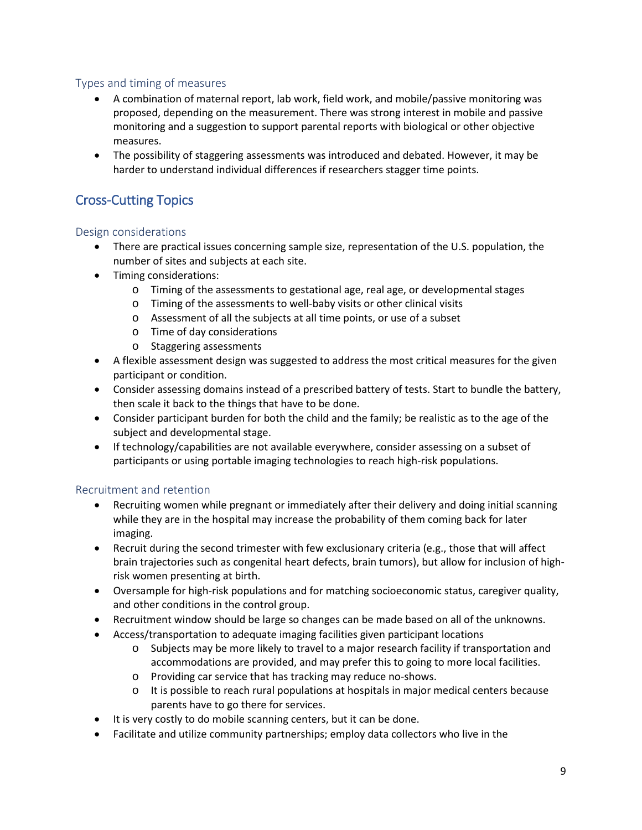# Types and timing of measures

- A combination of maternal report, lab work, field work, and mobile/passive monitoring was proposed, depending on the measurement. There was strong interest in mobile and passive monitoring and a suggestion to support parental reports with biological or other objective measures.
- The possibility of staggering assessments was introduced and debated. However, it may be harder to understand individual differences if researchers stagger time points.

# Cross-Cutting Topics

## Design considerations

- There are practical issues concerning sample size, representation of the U.S. population, the number of sites and subjects at each site.
- Timing considerations:
	- $\circ$  Timing of the assessments to gestational age, real age, or developmental stages
	- o Timing of the assessments to well-baby visits or other clinical visits
	- o Assessment of all the subjects at all time points, or use of a subset
	- o Time of day considerations
	- o Staggering assessments
- A flexible assessment design was suggested to address the most critical measures for the given participant or condition.
- Consider assessing domains instead of a prescribed battery of tests. Start to bundle the battery, then scale it back to the things that have to be done.
- Consider participant burden for both the child and the family; be realistic as to the age of the subject and developmental stage.
- If technology/capabilities are not available everywhere, consider assessing on a subset of participants or using portable imaging technologies to reach high-risk populations.

## Recruitment and retention

- Recruiting women while pregnant or immediately after their delivery and doing initial scanning while they are in the hospital may increase the probability of them coming back for later imaging.
- Recruit during the second trimester with few exclusionary criteria (e.g., those that will affect brain trajectories such as congenital heart defects, brain tumors), but allow for inclusion of highrisk women presenting at birth.
- Oversample for high-risk populations and for matching socioeconomic status, caregiver quality, and other conditions in the control group.
- Recruitment window should be large so changes can be made based on all of the unknowns.
- Access/transportation to adequate imaging facilities given participant locations
	- o Subjects may be more likely to travel to a major research facility if transportation and accommodations are provided, and may prefer this to going to more local facilities.
	- o Providing car service that has tracking may reduce no-shows.
	- o It is possible to reach rural populations at hospitals in major medical centers because parents have to go there for services.
- It is very costly to do mobile scanning centers, but it can be done.
- Facilitate and utilize community partnerships; employ data collectors who live in the